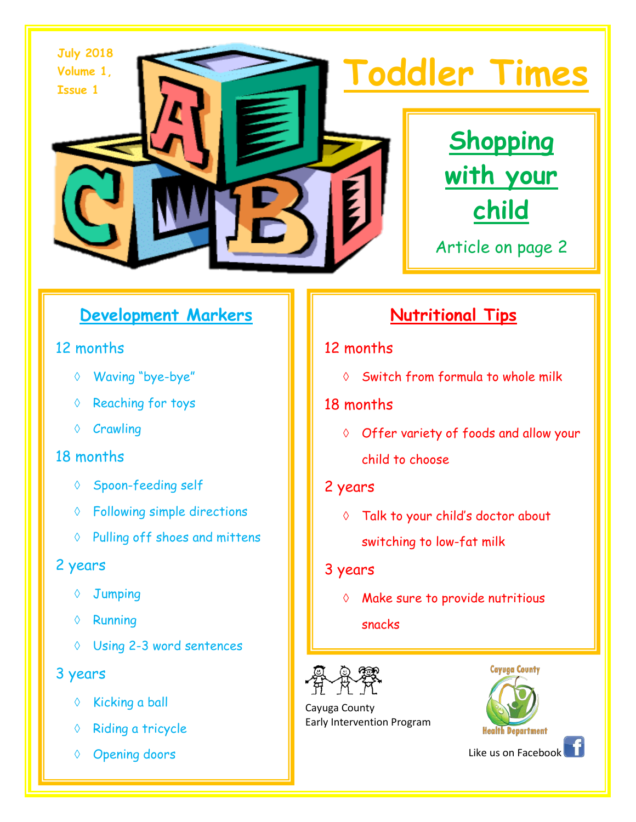



Article on page 2

# **Development Markers**

### 12 months

- ◊ Waving "bye-bye"
- ◊ Reaching for toys
- ◊ Crawling

# 18 months

- ◊ Spoon-feeding self
- ◊ Following simple directions
- ◊ Pulling off shoes and mittens

# 2 years

- ◊ Jumping
- ◊ Running
- ◊ Using 2-3 word sentences

# 3 years

- ◊ Kicking a ball
- ◊ Riding a tricycle
- ◊ Opening doors

# **Nutritional Tips**

# 12 months

◊ Switch from formula to whole milk

# 18 months

◊ Offer variety of foods and allow your child to choose

# 2 years

◊ Talk to your child's doctor about switching to low-fat milk

#### 3 years

◊ Make sure to provide nutritious

#### snacks



 Cayuga County Early Intervention Program



Like us on Facebook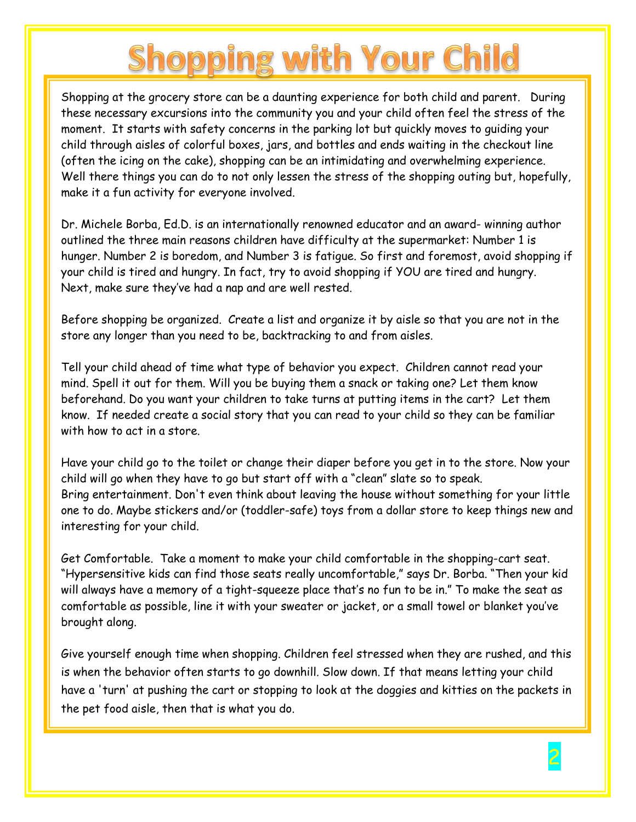# **Shopping with Your Child**

Shopping at the grocery store can be a daunting experience for both child and parent. During these necessary excursions into the community you and your child often feel the stress of the moment. It starts with safety concerns in the parking lot but quickly moves to guiding your child through aisles of colorful boxes, jars, and bottles and ends waiting in the checkout line (often the icing on the cake), shopping can be an intimidating and overwhelming experience. Well there things you can do to not only lessen the stress of the shopping outing but, hopefully, make it a fun activity for everyone involved.

Dr. Michele Borba, Ed.D. is an internationally renowned educator and an award- winning author outlined the three main reasons children have difficulty at the supermarket: Number 1 is hunger. Number 2 is boredom, and Number 3 is fatigue. So first and foremost, avoid shopping if your child is tired and hungry. In fact, try to avoid shopping if YOU are tired and hungry. Next, make sure they've had a nap and are well rested.

Before shopping be organized. Create a list and organize it by aisle so that you are not in the store any longer than you need to be, backtracking to and from aisles.

Tell your child ahead of time what type of behavior you expect. Children cannot read your mind. Spell it out for them. Will you be buying them a snack or taking one? Let them know beforehand. Do you want your children to take turns at putting items in the cart? Let them know. If needed create a social story that you can read to your child so they can be familiar with how to act in a store.

Have your child go to the toilet or change their diaper before you get in to the store. Now your child will go when they have to go but start off with a "clean" slate so to speak. Bring entertainment. Don't even think about leaving the house without something for your little one to do. Maybe stickers and/or (toddler-safe) toys from a dollar store to keep things new and interesting for your child.

Get Comfortable. Take a moment to make your child comfortable in the shopping-cart seat. "Hypersensitive kids can find those seats really uncomfortable," says Dr. Borba. "Then your kid will always have a memory of a tight-squeeze place that's no fun to be in." To make the seat as comfortable as possible, line it with your sweater or jacket, or a small towel or blanket you've brought along.

Give yourself enough time when shopping. Children feel stressed when they are rushed, and this is when the behavior often starts to go downhill. Slow down. If that means letting your child have a 'turn' at pushing the cart or stopping to look at the doggies and kitties on the packets in the pet food aisle, then that is what you do.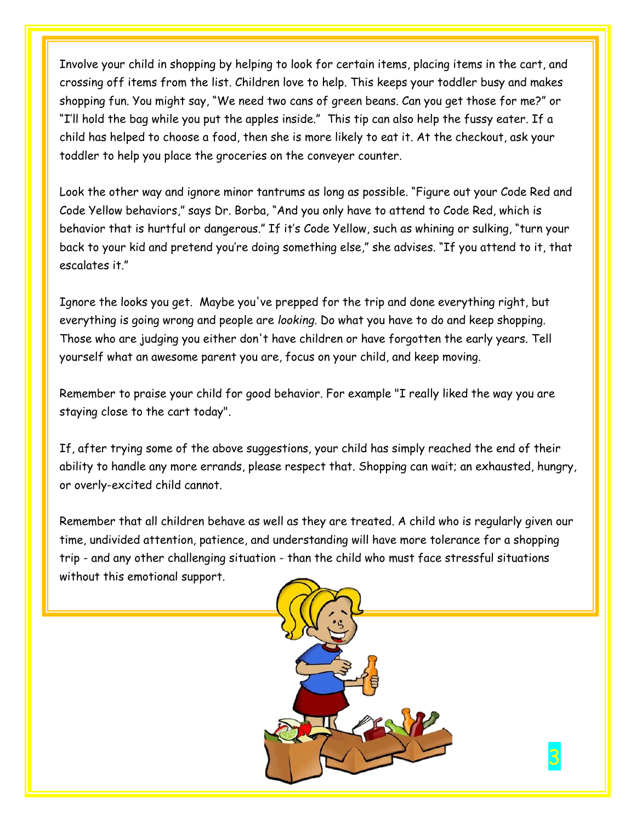Involve your child in shopping by helping to look for certain items, placing items in the cart, and crossing off items from the list. Children love to help. This keeps your toddler busy and makes shopping fun. You might say, "We need two cans of green beans. Can you get those for me?" or "I'll hold the bag while you put the apples inside." This tip can also help the fussy eater. If a child has helped to choose a food, then she is more likely to eat it. At the checkout, ask your toddler to help you place the groceries on the conveyer counter.

Look the other way and ignore minor tantrums as long as possible. "Figure out your Code Red and Code Yellow behaviors," says Dr. Borba, "And you only have to attend to Code Red, which is behavior that is hurtful or dangerous." If it's Code Yellow, such as whining or sulking, "turn your back to your kid and pretend you're doing something else," she advises. "If you attend to it, that escalates it."

Ignore the looks you get. Maybe you've prepped for the trip and done everything right, but everything is going wrong and people are *looking.* Do what you have to do and keep shopping. Those who are judging you either don't have children or have forgotten the early years. Tell yourself what an awesome parent you are, focus on your child, and keep moving.

Remember to praise your child for good behavior. For example "I really liked the way you are staying close to the cart today".

If, after trying some of the above suggestions, your child has simply reached the end of their ability to handle any more errands, please respect that. Shopping can wait; an exhausted, hungry, or overly-excited child cannot.

Remember that all children behave as well as they are treated. A child who is regularly given our time, undivided attention, patience, and understanding will have more tolerance for a shopping trip - and any other challenging situation - than the child who must face stressful situations without this emotional support.